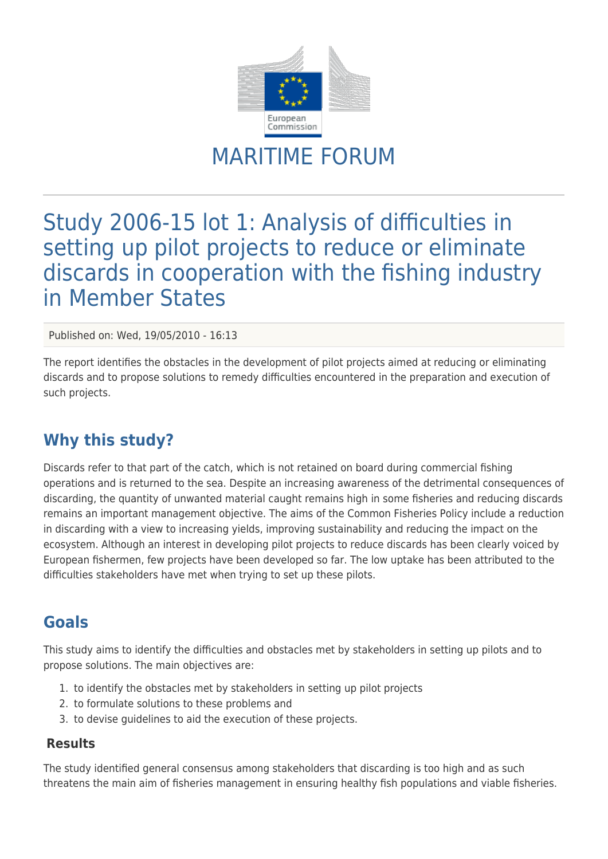

# MARITIME FORUM

## Study 2006-15 lot 1: Analysis of difficulties in setting up pilot projects to reduce or eliminate discards in cooperation with the fishing industry in Member States

Published on: Wed, 19/05/2010 - 16:13

The report identifies the obstacles in the development of pilot projects aimed at reducing or eliminating discards and to propose solutions to remedy difficulties encountered in the preparation and execution of such projects.

### **Why this study?**

Discards refer to that part of the catch, which is not retained on board during commercial fishing operations and is returned to the sea. Despite an increasing awareness of the detrimental consequences of discarding, the quantity of unwanted material caught remains high in some fisheries and reducing discards remains an important management objective. The aims of the Common Fisheries Policy include a reduction in discarding with a view to increasing yields, improving sustainability and reducing the impact on the ecosystem. Although an interest in developing pilot projects to reduce discards has been clearly voiced by European fishermen, few projects have been developed so far. The low uptake has been attributed to the difficulties stakeholders have met when trying to set up these pilots.

### **Goals**

This study aims to identify the difficulties and obstacles met by stakeholders in setting up pilots and to propose solutions. The main objectives are:

- 1. to identify the obstacles met by stakeholders in setting up pilot projects
- 2. to formulate solutions to these problems and
- 3. to devise guidelines to aid the execution of these projects.

#### **Results**

The study identified general consensus among stakeholders that discarding is too high and as such threatens the main aim of fisheries management in ensuring healthy fish populations and viable fisheries.